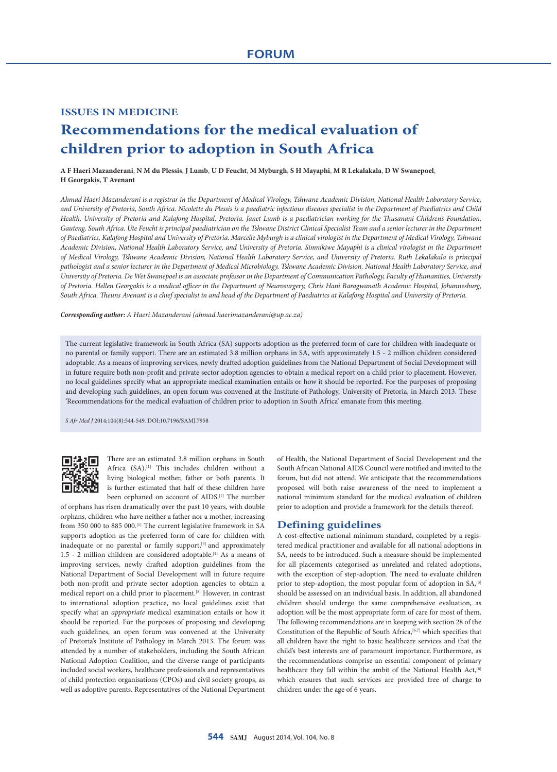# **ISSUES IN MEDICINE Recommendations for the medical evaluation of children prior to adoption in South Africa**

#### **A F Haeri Mazanderani**, **N M du Plessis**, **J Lumb**, **U D Feucht**, **M Myburgh**, **S H Mayaphi**, **M R Lekalakala**, **D W Swanepoel**, **H Georgakis**, **T Avenant**

Ahmad Haeri Mazanderani is a registrar in the Department of Medical Virology, Tshwane Academic Division, National Health Laboratory Service, *and University of Pretoria, South Africa. Nicolette du Plessis is a paediatric infectious diseases specialist in the Department of Paediatrics and Child*  Health, University of Pretoria and Kalafong Hospital, Pretoria. Janet Lumb is a paediatrician working for the Thusanani Children's Foundation, Gauteng, South Africa. Ute Feucht is principal paediatrician on the Tshwane District Clinical Specialist Team and a senior lecturer in the Department *of Paediatrics, Kalafong Hospital and University of Pretoria. Marcelle Myburgh is a clinical virologist in the Department of Medical Virology, Tshwane Academic Division, National Health Laboratory Service, and University of Pretoria. Simnikiwe Mayaphi is a clinical virologist in the Department of Medical Virology, Tshwane Academic Division, National Health Laboratory Service, and University of Pretoria. Ruth Lekalakala is principal pathologist and a senior lecturer in the Department of Medical Microbiology, Tshwane Academic Division, National Health Laboratory Service, and University of Pretoria. De Wet Swanepoel is an associate professor in the Department of Communication Pathology, Faculty of Humanities, University*  of Pretoria. Hellen Georgakis is a medical officer in the Department of Neurosurgery, Chris Hani Baragwanath Academic Hospital, Johannesburg, South Africa. Theuns Avenant is a chief specialist in and head of the Department of Paediatrics at Kalafong Hospital and University of Pretoria.

*Corresponding author: A Haeri Mazanderani (ahmad.haerimazanderani@up.ac.za)*

The current legislative framework in South Africa (SA) supports adoption as the preferred form of care for children with inadequate or no parental or family support. There are an estimated 3.8 million orphans in SA, with approximately 1.5 - 2 million children considered adoptable. As a means of improving services, newly drafted adoption guidelines from the National Department of Social Development will in future require both non-profit and private sector adoption agencies to obtain a medical report on a child prior to placement. However, no local guidelines specify what an appropriate medical examination entails or how it should be reported. For the purposes of proposing and developing such guidelines, an open forum was convened at the Institute of Pathology, University of Pretoria, in March 2013. These 'Recommendations for the medical evaluation of children prior to adoption in South Africa' emanate from this meeting.

*S Afr Med J* 2014;104(8):544-549. DOI:10.7196/SAMJ.7958



There are an estimated 3.8 million orphans in South Africa (SA).<sup>[1]</sup> This includes children without a living biological mother, father or both parents. It is further estimated that half of these children have been orphaned on account of AIDS.[2] The number

of orphans has risen dramatically over the past 10 years, with double orphans, children who have neither a father nor a mother, increasing from 350 000 to 885 000.<sup>[1]</sup> The current legislative framework in SA supports adoption as the preferred form of care for children with inadequate or no parental or family support,<sup>[3]</sup> and approximately 1.5 - 2 million children are considered adoptable.<sup>[4]</sup> As a means of improving services, newly drafted adoption guidelines from the National Department of Social Development will in future require both non-profit and private sector adoption agencies to obtain a medical report on a child prior to placement.[5] However, in contrast to international adoption practice, no local guidelines exist that specify what an *appropriate* medical examination entails or how it should be reported. For the purposes of proposing and developing such guidelines, an open forum was convened at the University of Pretoria's Institute of Pathology in March 2013. The forum was attended by a number of stakeholders, including the South African National Adoption Coalition, and the diverse range of participants included social workers, healthcare professionals and representatives of child protection organisations (CPOs) and civil society groups, as well as adoptive parents. Representatives of the National Department

of Health, the National Department of Social Development and the South African National AIDS Council were notified and invited to the forum, but did not attend. We anticipate that the recommendations proposed will both raise awareness of the need to implement a national minimum standard for the medical evaluation of children prior to adoption and provide a framework for the details thereof.

## **Defining guidelines**

A cost-effective national minimum standard, completed by a registered medical practitioner and available for all national adoptions in SA, needs to be introduced. Such a measure should be implemented for all placements categorised as unrelated and related adoptions, with the exception of step-adoption. The need to evaluate children prior to step-adoption, the most popular form of adoption in SA,<sup>[3]</sup> should be assessed on an individual basis. In addition, all abandoned children should undergo the same comprehensive evaluation, as adoption will be the most appropriate form of care for most of them. The following recommendations are in keeping with section 28 of the Constitution of the Republic of South Africa,<sup>[6,7]</sup> which specifies that all children have the right to basic healthcare services and that the child's best interests are of paramount importance. Furthermore, as the recommendations comprise an essential component of primary healthcare they fall within the ambit of the National Health Act,<sup>[8]</sup> which ensures that such services are provided free of charge to children under the age of 6 years.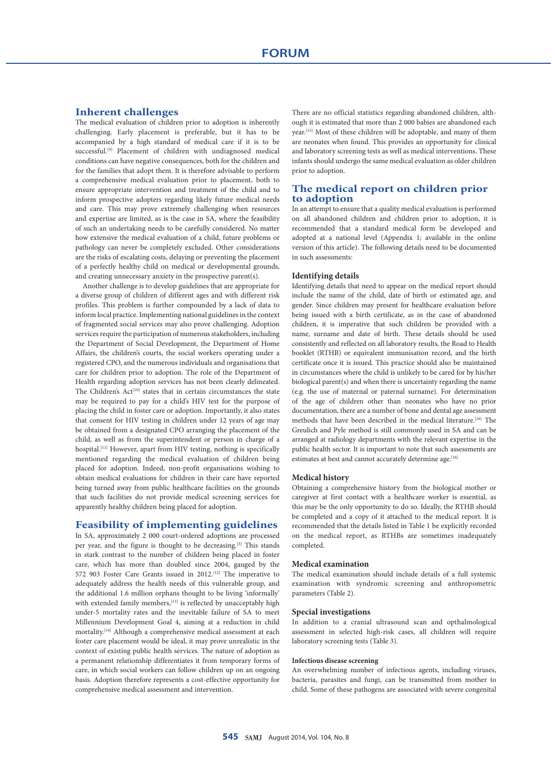### **Inherent challenges**

The medical evaluation of children prior to adoption is inherently challenging. Early placement is preferable, but it has to be accompanied by a high standard of medical care if it is to be successful.<sup>[9]</sup> Placement of children with undiagnosed medical conditions can have negative consequences, both for the children and for the families that adopt them. It is therefore advisable to perform a comprehensive medical evaluation prior to placement, both to ensure appropriate intervention and treatment of the child and to inform prospective adopters regarding likely future medical needs and care. This may prove extremely challenging when resources and expertise are limited, as is the case in SA, where the feasibility of such an undertaking needs to be carefully considered. No matter how extensive the medical evaluation of a child, future problems or pathology can never be completely excluded. Other considerations are the risks of escalating costs, delaying or preventing the placement of a perfectly healthy child on medical or developmental grounds, and creating unnecessary anxiety in the prospective parent(s).

Another challenge is to develop guidelines that are appropriate for a diverse group of children of different ages and with different risk profiles. This problem is further compounded by a lack of data to inform local practice. Implementing national guidelines in the context of fragmented social services may also prove challenging. Adoption services require the participation of numerous stakeholders, including the Department of Social Development, the Department of Home Affairs, the children's courts, the social workers operating under a registered CPO, and the numerous individuals and organisations that care for children prior to adoption. The role of the Department of Health regarding adoption services has not been clearly delineated. The Children's Act<sup>[10]</sup> states that in certain circumstances the state may be required to pay for a child's HIV test for the purpose of placing the child in foster care or adoption. Importantly, it also states that consent for HIV testing in children under 12 years of age may be obtained from a designated CPO arranging the placement of the child, as well as from the superintendent or person in charge of a hospital.<sup>[11]</sup> However, apart from HIV testing, nothing is specifically mentioned regarding the medical evaluation of children being placed for adoption. Indeed, non-profit organisations wishing to obtain medical evaluations for children in their care have reported being turned away from public healthcare facilities on the grounds that such facilities do not provide medical screening services for apparently healthy children being placed for adoption.

### **Feasibility of implementing guidelines**

In SA, approximately 2 000 court-ordered adoptions are processed per year, and the figure is thought to be decreasing.<sup>[3]</sup> This stands in stark contrast to the number of children being placed in foster care, which has more than doubled since 2004, gauged by the 572 903 Foster Care Grants issued in 2012.<sup>[12]</sup> The imperative to adequately address the health needs of this vulnerable group, and the additional 1.6 million orphans thought to be living 'informally' with extended family members,<sup>[13]</sup> is reflected by unacceptably high under-5 mortality rates and the inevitable failure of SA to meet Millennium Development Goal 4, aiming at a reduction in child mortality.[14] Although a comprehensive medical assessment at each foster care placement would be ideal, it may prove unrealistic in the context of existing public health services. The nature of adoption as a permanent relationship differentiates it from temporary forms of care, in which social workers can follow children up on an ongoing basis. Adoption therefore represents a cost-effective opportunity for comprehensive medical assessment and intervention.

There are no official statistics regarding abandoned children, although it is estimated that more than 2 000 babies are abandoned each year.[15] Most of these children will be adoptable, and many of them are neonates when found. This provides an opportunity for clinical and laboratory screening tests as well as medical interventions. These infants should undergo the same medical evaluation as older children prior to adoption.

## **The medical report on children prior to adoption**

In an attempt to ensure that a quality medical evaluation is performed on all abandoned children and children prior to adoption, it is recommended that a standard medical form be developed and adopted at a national level (Appendix 1; available in the online version of this article). The following details need to be documented in such assessments:

#### **Identifying details**

Identifying details that need to appear on the medical report should include the name of the child, date of birth or estimated age, and gender. Since children may present for healthcare evaluation before being issued with a birth certificate, as in the case of abandoned children, it is imperative that such children be provided with a name, surname and date of birth. These details should be used consistently and reflected on all laboratory results, the Road to Health booklet (RTHB) or equivalent immunisation record, and the birth certificate once it is issued. This practice should also be maintained in circumstances where the child is unlikely to be cared for by his/her biological parent(s) and when there is uncertainty regarding the name (e.g. the use of maternal or paternal surname). For determination of the age of children other than neonates who have no prior documentation, there are a number of bone and dental age assessment methods that have been described in the medical literature.<sup>[16]</sup> The Greulich and Pyle method is still commonly used in SA and can be arranged at radiology departments with the relevant expertise in the public health sector. It is important to note that such assessments are estimates at best and cannot accurately determine age.<sup>[16]</sup>

#### **Medical history**

Obtaining a comprehensive history from the biological mother or caregiver at first contact with a healthcare worker is essential, as this may be the only opportunity to do so. Ideally, the RTHB should be completed and a copy of it attached to the medical report. It is recommended that the details listed in Table 1 be explicitly recorded on the medical report, as RTHBs are sometimes inadequately completed.

### **Medical examination**

The medical examination should include details of a full systemic examination with syndromic screening and anthropometric parameters (Table 2).

#### **Special investigations**

In addition to a cranial ultrasound scan and opthalmological assessment in selected high-risk cases, all children will require laboratory screening tests (Table 3).

#### **Infectious disease screening**

An overwhelming number of infectious agents, including viruses, bacteria, parasites and fungi, can be transmitted from mother to child. Some of these pathogens are associated with severe congenital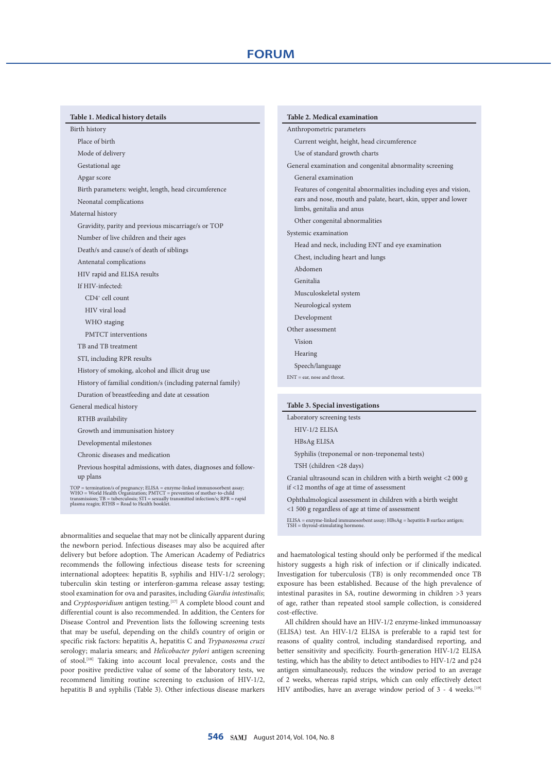| Table 1. Medical history details                                                                                                                                                                                             | Table 2. Medical examination                                                                                            |
|------------------------------------------------------------------------------------------------------------------------------------------------------------------------------------------------------------------------------|-------------------------------------------------------------------------------------------------------------------------|
| Birth history                                                                                                                                                                                                                | Anthropometric parameters                                                                                               |
| Place of birth                                                                                                                                                                                                               | Current weight, height, head circumference                                                                              |
| Mode of delivery                                                                                                                                                                                                             | Use of standard growth charts                                                                                           |
| Gestational age                                                                                                                                                                                                              | General examination and congenital abnormality screening                                                                |
| Apgar score                                                                                                                                                                                                                  | General examination                                                                                                     |
| Birth parameters: weight, length, head circumference                                                                                                                                                                         | Features of congenital abnormalities including eyes and vision,                                                         |
| Neonatal complications                                                                                                                                                                                                       | ears and nose, mouth and palate, heart, skin, upper and lower                                                           |
| Maternal history                                                                                                                                                                                                             | limbs, genitalia and anus                                                                                               |
| Gravidity, parity and previous miscarriage/s or TOP                                                                                                                                                                          | Other congenital abnormalities                                                                                          |
| Number of live children and their ages                                                                                                                                                                                       | Systemic examination                                                                                                    |
| Death/s and cause/s of death of siblings                                                                                                                                                                                     | Head and neck, including ENT and eye examination                                                                        |
| Antenatal complications                                                                                                                                                                                                      | Chest, including heart and lungs                                                                                        |
| HIV rapid and ELISA results                                                                                                                                                                                                  | Abdomen                                                                                                                 |
| If HIV-infected:                                                                                                                                                                                                             | Genitalia                                                                                                               |
| $CD4^+$ cell count                                                                                                                                                                                                           | Musculoskeletal system                                                                                                  |
| HIV viral load                                                                                                                                                                                                               | Neurological system                                                                                                     |
| WHO staging                                                                                                                                                                                                                  | Development                                                                                                             |
| <b>PMTCT</b> interventions                                                                                                                                                                                                   | Other assessment                                                                                                        |
| TB and TB treatment                                                                                                                                                                                                          | Vision                                                                                                                  |
| STI, including RPR results                                                                                                                                                                                                   | Hearing                                                                                                                 |
| History of smoking, alcohol and illicit drug use                                                                                                                                                                             | Speech/language                                                                                                         |
| History of familial condition/s (including paternal family)                                                                                                                                                                  | $ENT = ear$ , nose and throat.                                                                                          |
| Duration of breastfeeding and date at cessation                                                                                                                                                                              |                                                                                                                         |
| General medical history                                                                                                                                                                                                      | Table 3. Special investigations                                                                                         |
| RTHB availability                                                                                                                                                                                                            | Laboratory screening tests                                                                                              |
| Growth and immunisation history                                                                                                                                                                                              | HIV-1/2 ELISA                                                                                                           |
| Developmental milestones                                                                                                                                                                                                     | HBsAg ELISA                                                                                                             |
| Chronic diseases and medication                                                                                                                                                                                              | Syphilis (treponemal or non-treponemal tests)                                                                           |
| Previous hospital admissions, with dates, diagnoses and follow-                                                                                                                                                              | TSH (children <28 days)                                                                                                 |
| up plans                                                                                                                                                                                                                     | Cranial ultrasound scan in children with a birth weight <2 000 g                                                        |
| TOP = termination/s of pregnancy; ELISA = enzyme-linked immunosorbent assay; WHO = World Health Organization; PMTCT = prevention of mother-to-child transmission; TB = tuberculosis; STI = sexually transmitted infection/s; | if <12 months of age at time of assessment                                                                              |
| plasma reagin; RTHB = Road to Health booklet.                                                                                                                                                                                | Ophthalmological assessment in children with a birth weight<br><1 500 g regardless of age at time of assessment         |
|                                                                                                                                                                                                                              | ELISA = enzyme-linked immunosorbent assay; HBsAg = hepatitis B surface antigen;<br>$TSH =$ thyroid-stimulating hormone. |

abnormalities and sequelae that may not be clinically apparent during the newborn period. Infectious diseases may also be acquired after delivery but before adoption. The American Academy of Pediatrics recommends the following infectious disease tests for screening international adoptees: hepatitis B, syphilis and HIV-1/2 serology; tuberculin skin testing or interferon-gamma release assay testing; stool examination for ova and parasites, including *Giardia intestinalis*; and *Cryptosporidium* antigen testing.<sup>[17]</sup> A complete blood count and differential count is also recommended. In addition, the Centers for Disease Control and Prevention lists the following screening tests that may be useful, depending on the child's country of origin or specific risk factors: hepatitis A, hepatitis C and *Trypanosoma cruzi*  serology; malaria smears; and *Helicobacter pylori* antigen screening of stool.[18] Taking into account local prevalence, costs and the poor positive predictive value of some of the laboratory tests, we recommend limiting routine screening to exclusion of HIV-1/2, hepatitis B and syphilis (Table 3). Other infectious disease markers

and haematological testing should only be performed if the medical history suggests a high risk of infection or if clinically indicated. Investigation for tuberculosis (TB) is only recommended once TB exposure has been established. Because of the high prevalence of intestinal parasites in SA, routine deworming in children >3 years of age, rather than repeated stool sample collection, is considered cost-effective.

All children should have an HIV-1/2 enzyme-linked immunoassay (ELISA) test. An HIV-1/2 ELISA is preferable to a rapid test for reasons of quality control, including standardised reporting, and better sensitivity and specificity. Fourth-generation HIV-1/2 ELISA testing, which has the ability to detect antibodies to HIV-1/2 and p24 antigen simultaneously, reduces the window period to an average of 2 weeks, whereas rapid strips, which can only effectively detect HIV antibodies, have an average window period of 3 - 4 weeks.<sup>[19]</sup>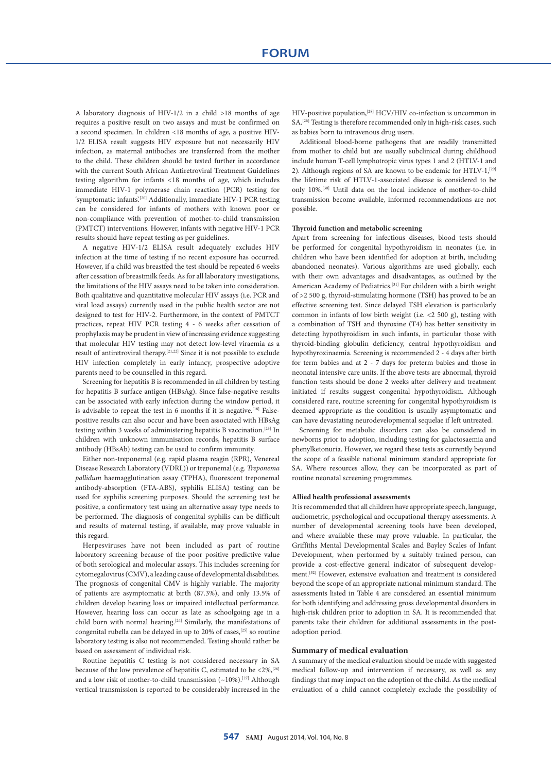A laboratory diagnosis of HIV-1/2 in a child >18 months of age requires a positive result on two assays and must be confirmed on a second specimen. In children <18 months of age, a positive HIV-1/2 ELISA result suggests HIV exposure but not necessarily HIV infection, as maternal antibodies are transferred from the mother to the child. These children should be tested further in accordance with the current South African Antiretroviral Treatment Guidelines testing algorithm for infants <18 months of age, which includes immediate HIV-1 polymerase chain reaction (PCR) testing for 'symptomatic infants'.[20] Additionally, immediate HIV-1 PCR testing can be considered for infants of mothers with known poor or non-compliance with prevention of mother-to-child transmission (PMTCT) interventions. However, infants with negative HIV-1 PCR results should have repeat testing as per guidelines.

A negative HIV-1/2 ELISA result adequately excludes HIV infection at the time of testing if no recent exposure has occurred. However, if a child was breastfed the test should be repeated 6 weeks after cessation of breastmilk feeds. As for all laboratory investigations, the limitations of the HIV assays need to be taken into consideration. Both qualitative and quantitative molecular HIV assays (i.e. PCR and viral load assays) currently used in the public health sector are not designed to test for HIV-2. Furthermore, in the context of PMTCT practices, repeat HIV PCR testing 4 - 6 weeks after cessation of prophylaxis may be prudent in view of increasing evidence suggesting that molecular HIV testing may not detect low-level viraemia as a result of antiretroviral therapy.[21,22] Since it is not possible to exclude HIV infection completely in early infancy, prospective adoptive parents need to be counselled in this regard.

Screening for hepatitis B is recommended in all children by testing for hepatitis B surface antigen (HBsAg). Since false-negative results can be associated with early infection during the window period, it is advisable to repeat the test in 6 months if it is negative.<sup>[18]</sup> Falsepositive results can also occur and have been associated with HBsAg testing within 3 weeks of administering hepatitis B vaccination.[23] In children with unknown immunisation records, hepatitis B surface antibody (HBsAb) testing can be used to confirm immunity.

Either non-treponemal (e.g. rapid plasma reagin (RPR), Venereal Disease Research Laboratory (VDRL)) or treponemal (e.g. *Treponema pallidum* haemagglutination assay (TPHA), fluorescent treponemal antibody-absorption (FTA-ABS), syphilis ELISA) testing can be used for syphilis screening purposes. Should the screening test be positive, a confirmatory test using an alternative assay type needs to be performed. The diagnosis of congenital syphilis can be difficult and results of maternal testing, if available, may prove valuable in this regard.

Herpesviruses have not been included as part of routine laboratory screening because of the poor positive predictive value of both serological and molecular assays. This includes screening for cytomegalovirus (CMV), a leading cause of developmental disabilities. The prognosis of congenital CMV is highly variable. The majority of patients are asymptomatic at birth (87.3%), and only 13.5% of children develop hearing loss or impaired intellectual performance. However, hearing loss can occur as late as schoolgoing age in a child born with normal hearing.[24] Similarly, the manifestations of congenital rubella can be delayed in up to 20% of cases,[25] so routine laboratory testing is also not recommended. Testing should rather be based on assessment of individual risk.

Routine hepatitis C testing is not considered necessary in SA because of the low prevalence of hepatitis C, estimated to be <2%,<sup>[26]</sup> and a low risk of mother-to-child transmission  $({\sim}10\%)$ .<sup>[27]</sup> Although vertical transmission is reported to be considerably increased in the HIV-positive population,<sup>[28]</sup> HCV/HIV co-infection is uncommon in SA.<sup>[26]</sup> Testing is therefore recommended only in high-risk cases, such as babies born to intravenous drug users.

Additional blood-borne pathogens that are readily transmitted from mother to child but are usually subclinical during childhood include human T-cell lymphotropic virus types 1 and 2 (HTLV-1 and 2). Although regions of SA are known to be endemic for HTLV-1,<sup>[29]</sup> the lifetime risk of HTLV-1-associated disease is considered to be only 10%.[30] Until data on the local incidence of mother-to-child transmission become available, informed recommendations are not possible.

#### **yroid function and metabolic screening**

Apart from screening for infectious diseases, blood tests should be performed for congenital hypothyroidism in neonates (i.e. in children who have been identified for adoption at birth, including abandoned neonates). Various algorithms are used globally, each with their own advantages and disadvantages, as outlined by the American Academy of Pediatrics.[31] For children with a birth weight of >2 500 g, thyroid-stimulating hormone (TSH) has proved to be an effective screening test. Since delayed TSH elevation is particularly common in infants of low birth weight (i.e. <2 500 g), testing with a combination of TSH and thyroxine (T4) has better sensitivity in detecting hypothyroidism in such infants, in particular those with thyroid-binding globulin deficiency, central hypothyroidism and hypothyroxinaemia. Screening is recommended 2 - 4 days after birth for term babies and at 2 - 7 days for preterm babies and those in neonatal intensive care units. If the above tests are abnormal, thyroid function tests should be done 2 weeks after delivery and treatment initiated if results suggest congenital hypothyroidism. Although considered rare, routine screening for congenital hypothyroidism is deemed appropriate as the condition is usually asymptomatic and can have devastating neurodevelopmental sequelae if left untreated.

Screening for metabolic disorders can also be considered in newborns prior to adoption, including testing for galactosaemia and phenylketonuria. However, we regard these tests as currently beyond the scope of a feasible national minimum standard appropriate for SA. Where resources allow, they can be incorporated as part of routine neonatal screening programmes.

#### **Allied health professional assessments**

It is recommended that all children have appropriate speech, language, audiometric, psychological and occupational therapy assessments. A number of developmental screening tools have been developed, and where available these may prove valuable. In particular, the Griffiths Mental Developmental Scales and Bayley Scales of Infant Development, when performed by a suitably trained person, can provide a cost-effective general indicator of subsequent development.[32] However, extensive evaluation and treatment is considered beyond the scope of an appropriate national minimum standard. The assessments listed in Table 4 are considered an essential minimum for both identifying and addressing gross developmental disorders in high-risk children prior to adoption in SA. It is recommended that parents take their children for additional assessments in the postadoption period.

#### **Summary of medical evaluation**

A summary of the medical evaluation should be made with suggested medical follow-up and intervention if necessary, as well as any findings that may impact on the adoption of the child. As the medical evaluation of a child cannot completely exclude the possibility of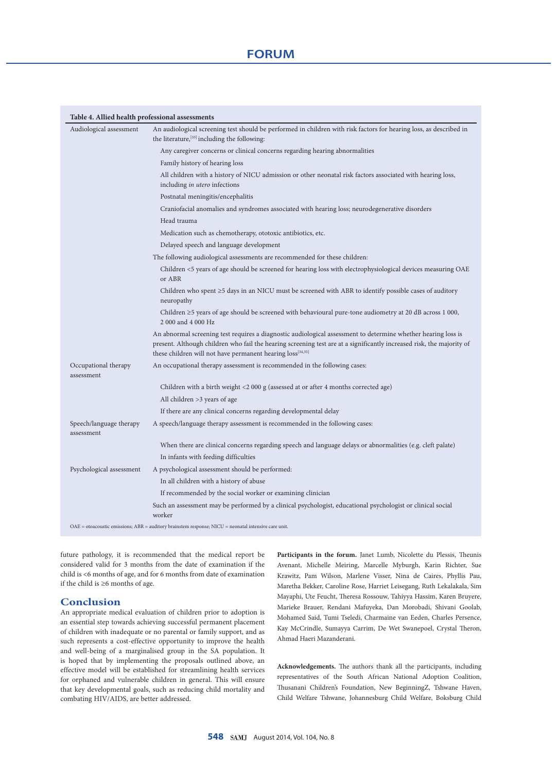| Table 4. Allied health professional assessments |                                                                                                                                                                                                                                                                                                                  |
|-------------------------------------------------|------------------------------------------------------------------------------------------------------------------------------------------------------------------------------------------------------------------------------------------------------------------------------------------------------------------|
| Audiological assessment                         | An audiological screening test should be performed in children with risk factors for hearing loss, as described in<br>the literature, [33] including the following:                                                                                                                                              |
|                                                 | Any caregiver concerns or clinical concerns regarding hearing abnormalities                                                                                                                                                                                                                                      |
|                                                 | Family history of hearing loss                                                                                                                                                                                                                                                                                   |
|                                                 | All children with a history of NICU admission or other neonatal risk factors associated with hearing loss,<br>including in utero infections                                                                                                                                                                      |
|                                                 | Postnatal meningitis/encephalitis                                                                                                                                                                                                                                                                                |
|                                                 | Craniofacial anomalies and syndromes associated with hearing loss; neurodegenerative disorders                                                                                                                                                                                                                   |
|                                                 | Head trauma                                                                                                                                                                                                                                                                                                      |
|                                                 | Medication such as chemotherapy, ototoxic antibiotics, etc.                                                                                                                                                                                                                                                      |
|                                                 | Delayed speech and language development                                                                                                                                                                                                                                                                          |
|                                                 | The following audiological assessments are recommended for these children:                                                                                                                                                                                                                                       |
|                                                 | Children <5 years of age should be screened for hearing loss with electrophysiological devices measuring OAE<br>or ABR                                                                                                                                                                                           |
|                                                 | Children who spent $\geq$ 5 days in an NICU must be screened with ABR to identify possible cases of auditory<br>neuropathy                                                                                                                                                                                       |
|                                                 | Children $\geq$ 5 years of age should be screened with behavioural pure-tone audiometry at 20 dB across 1 000,<br>2 000 and 4 000 Hz                                                                                                                                                                             |
|                                                 | An abnormal screening test requires a diagnostic audiological assessment to determine whether hearing loss is<br>present. Although children who fail the hearing screening test are at a significantly increased risk, the majority of<br>these children will not have permanent hearing loss <sup>[34,35]</sup> |
| Occupational therapy<br>assessment              | An occupational therapy assessment is recommended in the following cases:                                                                                                                                                                                                                                        |
|                                                 | Children with a birth weight $\langle 2000 \text{ g}$ (assessed at or after 4 months corrected age)                                                                                                                                                                                                              |
|                                                 | All children $>3$ years of age                                                                                                                                                                                                                                                                                   |
|                                                 | If there are any clinical concerns regarding developmental delay                                                                                                                                                                                                                                                 |
| Speech/language therapy<br>assessment           | A speech/language therapy assessment is recommended in the following cases:                                                                                                                                                                                                                                      |
|                                                 | When there are clinical concerns regarding speech and language delays or abnormalities (e.g. cleft palate)                                                                                                                                                                                                       |
|                                                 | In infants with feeding difficulties                                                                                                                                                                                                                                                                             |
| Psychological assessment                        | A psychological assessment should be performed:                                                                                                                                                                                                                                                                  |
|                                                 | In all children with a history of abuse                                                                                                                                                                                                                                                                          |
|                                                 | If recommended by the social worker or examining clinician                                                                                                                                                                                                                                                       |
|                                                 | Such an assessment may be performed by a clinical psychologist, educational psychologist or clinical social<br>worker                                                                                                                                                                                            |
|                                                 | OAE = otoacoustic emissions; ABR = auditory brainstem response; NICU = neonatal intensive care unit.                                                                                                                                                                                                             |

future pathology, it is recommended that the medical report be considered valid for 3 months from the date of examination if the child is <6 months of age, and for 6 months from date of examination if the child is ≥6 months of age.

## **Conclusion**

An appropriate medical evaluation of children prior to adoption is an essential step towards achieving successful permanent placement of children with inadequate or no parental or family support, and as such represents a cost-effective opportunity to improve the health and well-being of a marginalised group in the SA population. It is hoped that by implementing the proposals outlined above, an effective model will be established for streamlining health services for orphaned and vulnerable children in general. This will ensure that key developmental goals, such as reducing child mortality and combating HIV/AIDS, are better addressed.

Participants in the forum. Janet Lumb, Nicolette du Plessis, Theunis Avenant, Michelle Meiring, Marcelle Myburgh, Karin Richter, Sue Krawitz, Pam Wilson, Marlene Visser, Nina de Caires, Phyllis Pau, Maretha Bekker, Caroline Rose, Harriet Leisegang, Ruth Lekalakala, Sim Mayaphi, Ute Feucht, Theresa Rossouw, Tahiyya Hassim, Karen Bruyere, Marieke Brauer, Rendani Mafuyeka, Dan Morobadi, Shivani Goolab, Mohamed Said, Tumi Tseledi, Charmaine van Eeden, Charles Persence, Kay McCrindle, Sumayya Carrim, De Wet Swanepoel, Crystal Theron, Ahmad Haeri Mazanderani.

Acknowledgements. The authors thank all the participants, including representatives of the South African National Adoption Coalition, usanani Children's Foundation, New BeginningZ, Tshwane Haven, Child Welfare Tshwane, Johannesburg Child Welfare, Boksburg Child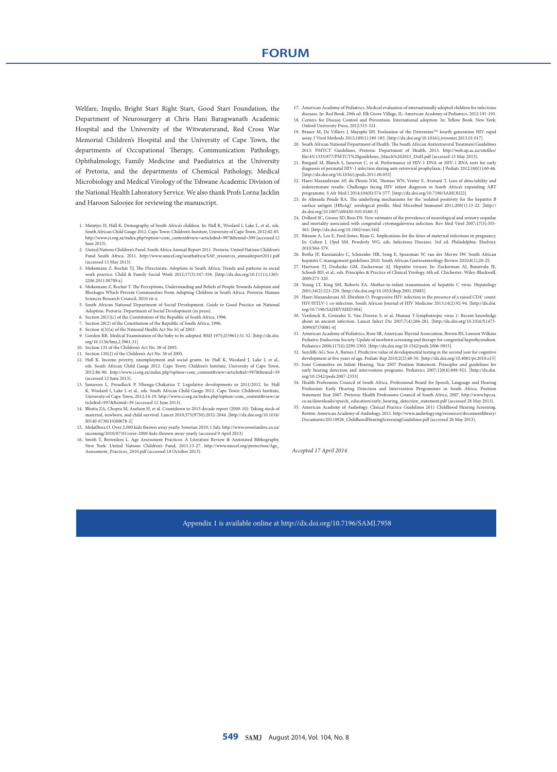Welfare, Impilo, Bright Start Right Start, Good Start Foundation, the Department of Neurosurgery at Chris Hani Baragwanath Academic Hospital and the University of the Witwatersrand, Red Cross War Memorial Children's Hospital and the University of Cape Town, the departments of Occupational Therapy, Communication Pathology, Ophthalmology, Family Medicine and Paediatrics at the University of Pretoria, and the departments of Chemical Pathology, Medical Microbiology and Medical Virology of the Tshwane Academic Division of the National Health Laboratory Service. We also thank Profs Lorna Jacklin and Haroon Saloojee for reviewing the manuscript.

- 1. Meintjes H, Hall K. Demography of South Africa's children. In: Hall K, Woolard I, Lake L, et al., eds. South African Child Gauge 2012. Cape Town: Children's Institute, University of Cape Town, 2012:82-85. http://www.ci.org.za/index.php?option=com\_content&view=article&id=997&Itemid=399 (accessed 12
- June 2013). 2. United Nations Children's Fund. South Africa Annual Report 2011. Pretoria: United Nations Children's Fund South Africa, 2011. http://www.unicef.org/southafrica/SAF\_resources\_annualreport2011.pdf
- (accessed 13 May 2013).<br>3. Mokomane Z, Rochat TJ, The Directorate. Adoption in South Africa: Trends and patterns in social
- work practice. Child & Family Social Work 2012;17(3):347-358. [http://dx.doi.org/10.1111/j.1365-<br>22206.2011.00789.x]<br>4. Mokomane Z, Rochat T. The Perceptions, Understanding and Beliefs of People Towards Adoption and Blockages Which Prevent Communities From Adopting Children in South Africa. Pretoria: Human Sciences Research Council, 2010:vii-x.
- 5. South African National Department of Social Development. Guide to Good Practice on National Adoption. Pretoria: Department of Social Development (in press).
- 6. Section 28(1)(c) of the Constitution of the Republic of South Africa, 1996.
- 
- 7. Section 28(2) of the Constitution of the Republic of South Africa, 1996. 8. Section 4(3)(a) of the National Health Act No. 61 of 2003.
- 9. Gordon RR. Medical Examination of the baby to be adopted. BMJ 1975;2(5961):31-32. [http://dx.doi. org/10.1136/bmj.2.5961.31]
- 10. Section 131 of the Children's Act No. 38 of 2005. 11. Section 130(2) of the Children's Act No. 38 of 2005.
- 12. Hall K. Income poverty, unemployment and social grants. In: Hall K, Woolard I, Lake L et al., eds. South African Child Gauge 2012. Cape Town: Children's Institute, University of Cape Town, 2012:86-90. http://www.ci.org.za/index.php?option=com\_content&view=article&id=997&Itemid=39 (accessed 12 June 2013).
- 13. Jamieson L, Proudlock P, Nhenga-Chakarisa T. Legislative developments in 2011/2012. In: Hall<br>K, Woolard I, Lake L et al., eds. South African Child Gauge 2012. Cape Town: Children's Institute,<br>University of Cape Town, 2
- ticle&id=997&Itemid=39 (accessed 12 June 2013).<br>14. Bhutta ZA, Chopra M, Axelson H, et al. Countdown to 2015 decade report (2000-10): Taking stock of<br>maternal, newborn, and child survival. Lancet 2010;375(9730):2032-2044. S0140-6736(10)60678-2]
- 15. Molatlhwa O. Over 2,000 kids thrown away yearly. Sowetan 2010; 1 July. http://www.sowetanlive.co.za/ incoming/2010/07/01/over-2000-kids-thrown-away-yearly (accessed 9 April 2013)
- 16. Smith T, Brownlees L. Age Assessment Practices: A Literature Review & Annotated Bibliography. New York: United Nations Children's Fund, 2011:13-27. http://www.unicef.org/protection/Age\_ Assessment\_Practices\_2010.pdf (accessed 18 October 2013).
- 17. American Academy of Pediatrics. Medical evaluation of internationally adopted children for infectious diseases. In: Red Book. 29th ed. Elk Grove Village, IL: American Academy of Pediatrics, 2012:191-193.
- 18. Centers for Disease Control and Prevention. International adoption. In: Yellow Book. New York: Oxford University Press, 2012:515-521.
- 19. Brauer M, De Villiers J, Mayaphi SH. Evaluation of the DetermineTM fourth generation HIV rapid assay. J Virol Methods 2013;189(1):180-183. [http://dx.doi.org/10.1016/j.jviromet.2013.01.017] 20. South African National Department of Health. e South African Antiretroviral Treatment Guidelines
- 2013: PMTCT Guidelines. Pretoria: Department of Health, 2013. http://web.up.ac.za/sitefiles/ le/45/1335/877/PMTCT%20guidelines\_March%202013\_DoH.pdf (accessed 13 May 2013).
- 21. Burgard M, Blanch S, Jasseron C, et al. Performance of HIV-1 DNA or HIV-1 RNA tests for early diagnosis of perinatal HIV-1 infection during anti-retroviral prophylaxis. J Pediatr 2012;160(1):60-66. [http://dx.doi.org/10.1016/j.jpeds.2011.06.053]
- 22. Haeri Mazanderani AF, du Plessis NM, Thomas WN, Venter E, Avenant T. Loss of detectability and indeterminate results: Challenges facing HIV infant diagnosis in South Africa's expanding ART programme. S Afr Med J 2014;104(8):574-577. [http://dx.doi.org/10.7196/SAMJ.8322]
- 23. de Almeida Ponde RA. The underlying mechanisms for the 'isolated positivity for the hepatitis B<br>surface antigen (HBsAg)' serological profile. Med Microbiol Immunol 2011;200(1):13-22. [http://<br>dx.doi.org/10.1007/s00430-
- 24. Dollard SC, Grosse SD, Ross DS. New estimates of the prevalence of neurological and sensory sequelae and mortality associated with congenital cytomegalovirus infection. Rev Med Virol 2007;17(5):355-
- 363. [http://dx.doi.org/10.1002/rmv.544]<br>25. Bitnum A, Lee E, Ford-Jones, Ryan G. Implications for the fetus of maternal infections in pregnancy.<br>In: Cohen J, Opal SM, Powderly WG, eds. Infectious Diseases. 3rd ed. Philade 2010:564-579.
- 26. Botha JF, Kassianides C, Schneider HR, Song E, Spearman W, van der Merwe SW. South African hepatitis C management guidelines 2010. South African Gastroenterology Review 2010:8(1);20-25.
- 27. Harrison TJ, Dusheiko GM, Zuckerman AJ. Hepatitis viruses. In: Zuckerman AJ, Banatvala JE, Schoub BD, et al., eds. Principles & Practice of Clinical Virology. 6th ed. Chichester: Wiley-Blackwell, 2009:273-320.
- 28. Yeung LT, King SM, Roberts EA. Mother-to-infant transmission of hepatitis C virus. Hepatology 2001;34(2):223-229. [http://dx.doi.org/10.1053/jhep.2001.25885]
- 29. Haeri Mazanderani AF, Ebrahim O. Progressive HIV infection in the presence of a raised CD4+ count: HIV/HTLV-1 co-infection. South African Journal of HIV Medicine 2013;14(2):92-94. [http://dx.doi. org/10.7196/SAJHIVMED.904]
- 30. Verdonck K, Gonzalez E, Van Dooren S, et al. Human T-lymphotropic virus 1: Recent knowledge about an ancient infection. Lancet Infect Dis 2007;7(4):266-281. [http://dx.doi.org/10.1016/S1473- 3099(07)70081-6]
- 31. American Academy of Pediatrics, Rose SR, American Thyroid Association, Brown RS, Lawson Wilkins Pediatric Endocrine Society. Update of newborn screening and therapy for congenital hypothyroidism. Pediatrics 2006;117(6):2290-2303. [http://dx.doi.org/10.1542/peds.2006-0915]<br>32. Sutcliffe AG, Soo A, Barnes J. Predictive value of developmental testing in the second year for cognitive
- development at five years of age. Pediatr Rep 2010;2(2):48-50. [http://dx.doi.org/10.4081/pr.2010.e15]
- 33. Joint Committee on Infant Hearing. Year 2007 Position Statement: Principles and guidelines for early hearing detection and intervention programs. Pediatrics 2007;120(4):898-921. [http://dx.doi.
- org/10.1542/peds.2007-2333] 34. Health Professions Council of South Africa. Professional Board for Speech, Language and Hearing Profession: Early Hearing Detection and Intervention Programmes in South Africa, Position Statement Year 2007. Pretoria: Health Professions Council of South Africa, 2007. http://www.hpcsa.
- co.za/downloads/speech\_education/early\_hearing\_detection\_statement.pdf (accessed 28 May 2013). 35. American Academy of Audiology. Clinical Practice Guidelines 2011 Childhood Hearing Screening. Reston: American Academy of Audiology, 2011. http://www.audiology.org/resources/documentlibrary/ Documents/20110926\_ChildhoodHearingScreeningGuidelines.pdf (accessed 28 May 2013).

*Accepted 17 April 2014.*

Appendix 1 is available online at http://dx.doi.org/10.7196/SAMJ.7958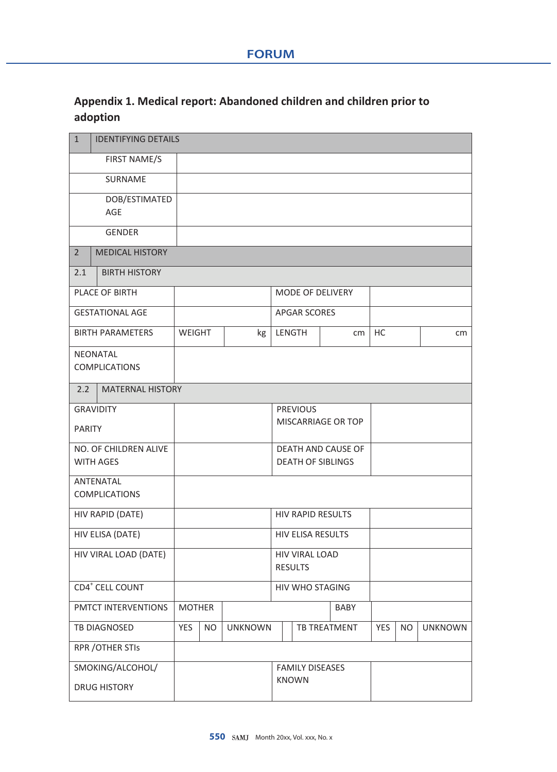# **Appendix 1. Medical report: Abandoned children and children prior to adoption**

| $\mathbf{1}$     | <b>IDENTIFYING DETAILS</b>        |               |                    |                 |                   |                          |  |                           |     |           |                |
|------------------|-----------------------------------|---------------|--------------------|-----------------|-------------------|--------------------------|--|---------------------------|-----|-----------|----------------|
|                  | FIRST NAME/S                      |               |                    |                 |                   |                          |  |                           |     |           |                |
|                  | SURNAME                           |               |                    |                 |                   |                          |  |                           |     |           |                |
|                  | DOB/ESTIMATED                     |               |                    |                 |                   |                          |  |                           |     |           |                |
|                  | AGE                               |               |                    |                 |                   |                          |  |                           |     |           |                |
|                  | <b>GENDER</b>                     |               |                    |                 |                   |                          |  |                           |     |           |                |
| $2^{\circ}$      | <b>MEDICAL HISTORY</b>            |               |                    |                 |                   |                          |  |                           |     |           |                |
| 2.1              | <b>BIRTH HISTORY</b>              |               |                    |                 |                   |                          |  |                           |     |           |                |
|                  | PLACE OF BIRTH                    |               |                    |                 |                   | MODE OF DELIVERY         |  |                           |     |           |                |
|                  | <b>GESTATIONAL AGE</b>            |               |                    |                 |                   | <b>APGAR SCORES</b>      |  |                           |     |           |                |
|                  | <b>BIRTH PARAMETERS</b>           | <b>WEIGHT</b> |                    | kg              |                   | <b>LENGTH</b>            |  | cm                        | HC  |           | cm             |
|                  | <b>NEONATAL</b>                   |               |                    |                 |                   |                          |  |                           |     |           |                |
|                  | <b>COMPLICATIONS</b>              |               |                    |                 |                   |                          |  |                           |     |           |                |
| 2.2              | <b>MATERNAL HISTORY</b>           |               |                    |                 |                   |                          |  |                           |     |           |                |
|                  | <b>GRAVIDITY</b>                  |               |                    | <b>PREVIOUS</b> |                   |                          |  |                           |     |           |                |
| <b>PARITY</b>    |                                   |               | MISCARRIAGE OR TOP |                 |                   |                          |  |                           |     |           |                |
|                  | NO. OF CHILDREN ALIVE             |               |                    |                 |                   |                          |  | <b>DEATH AND CAUSE OF</b> |     |           |                |
| <b>WITH AGES</b> |                                   |               |                    |                 |                   | <b>DEATH OF SIBLINGS</b> |  |                           |     |           |                |
|                  | ANTENATAL                         |               |                    |                 |                   |                          |  |                           |     |           |                |
|                  | <b>COMPLICATIONS</b>              |               |                    |                 |                   |                          |  |                           |     |           |                |
|                  | HIV RAPID (DATE)                  |               |                    |                 |                   | <b>HIV RAPID RESULTS</b> |  |                           |     |           |                |
|                  | HIV ELISA (DATE)                  |               |                    |                 | HIV ELISA RESULTS |                          |  |                           |     |           |                |
|                  | HIV VIRAL LOAD (DATE)             |               |                    |                 | HIV VIRAL LOAD    |                          |  |                           |     |           |                |
|                  |                                   |               |                    |                 |                   | <b>RESULTS</b>           |  |                           |     |           |                |
|                  | <b>CD4<sup>+</sup> CELL COUNT</b> |               |                    |                 | HIV WHO STAGING   |                          |  |                           |     |           |                |
|                  | PMTCT INTERVENTIONS               | <b>MOTHER</b> |                    | <b>BABY</b>     |                   |                          |  |                           |     |           |                |
|                  | TB DIAGNOSED                      | <b>YES</b>    | <b>NO</b>          | <b>UNKNOWN</b>  |                   |                          |  | TB TREATMENT              | YES | <b>NO</b> | <b>UNKNOWN</b> |
|                  | RPR / OTHER STIS                  |               |                    |                 |                   |                          |  |                           |     |           |                |
|                  | SMOKING/ALCOHOL/                  |               |                    |                 |                   | <b>FAMILY DISEASES</b>   |  |                           |     |           |                |
|                  | <b>DRUG HISTORY</b>               |               |                    |                 | <b>KNOWN</b>      |                          |  |                           |     |           |                |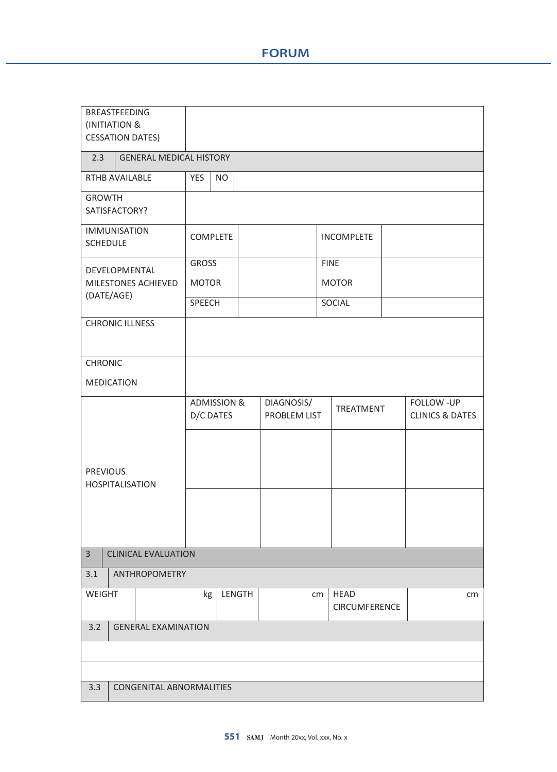| BREASTFEEDING<br>(INITIATION &               |                                     |                            |                   |                                          |  |  |  |  |
|----------------------------------------------|-------------------------------------|----------------------------|-------------------|------------------------------------------|--|--|--|--|
| <b>CESSATION DATES)</b>                      |                                     |                            |                   |                                          |  |  |  |  |
| <b>GENERAL MEDICAL HISTORY</b><br>2.3        |                                     |                            |                   |                                          |  |  |  |  |
| RTHB AVAILABLE                               | <b>YES</b><br><b>NO</b>             |                            |                   |                                          |  |  |  |  |
| <b>GROWTH</b><br>SATISFACTORY?               |                                     |                            |                   |                                          |  |  |  |  |
| <b>IMMUNISATION</b><br><b>SCHEDULE</b>       | <b>COMPLETE</b>                     |                            | <b>INCOMPLETE</b> |                                          |  |  |  |  |
| DEVELOPMENTAL                                | <b>GROSS</b>                        |                            | <b>FINE</b>       |                                          |  |  |  |  |
| MILESTONES ACHIEVED                          | <b>MOTOR</b>                        |                            | <b>MOTOR</b>      |                                          |  |  |  |  |
| (DATE/AGE)                                   | SPEECH                              |                            | SOCIAL            |                                          |  |  |  |  |
| <b>CHRONIC ILLNESS</b>                       |                                     |                            |                   |                                          |  |  |  |  |
|                                              |                                     |                            |                   |                                          |  |  |  |  |
| <b>CHRONIC</b>                               |                                     |                            |                   |                                          |  |  |  |  |
| <b>MEDICATION</b>                            |                                     |                            |                   |                                          |  |  |  |  |
|                                              | <b>ADMISSION &amp;</b><br>D/C DATES | DIAGNOSIS/<br>PROBLEM LIST | TREATMENT         | FOLLOW -UP<br><b>CLINICS &amp; DATES</b> |  |  |  |  |
|                                              |                                     |                            |                   |                                          |  |  |  |  |
| <b>PREVIOUS</b>                              |                                     |                            |                   |                                          |  |  |  |  |
| <b>HOSPITALISATION</b>                       |                                     |                            |                   |                                          |  |  |  |  |
|                                              |                                     |                            |                   |                                          |  |  |  |  |
|                                              |                                     |                            |                   |                                          |  |  |  |  |
| $\overline{3}$<br><b>CLINICAL EVALUATION</b> |                                     |                            |                   |                                          |  |  |  |  |
| 3.1<br>ANTHROPOMETRY                         |                                     |                            |                   |                                          |  |  |  |  |
| WEIGHT                                       | <b>LENGTH</b><br>kg                 | cm                         | <b>HEAD</b>       | cm                                       |  |  |  |  |
|                                              | <b>CIRCUMFERENCE</b>                |                            |                   |                                          |  |  |  |  |
| 3.2                                          | <b>GENERAL EXAMINATION</b>          |                            |                   |                                          |  |  |  |  |
|                                              |                                     |                            |                   |                                          |  |  |  |  |
|                                              |                                     |                            |                   |                                          |  |  |  |  |
| 3.3<br><b>CONGENITAL ABNORMALITIES</b>       |                                     |                            |                   |                                          |  |  |  |  |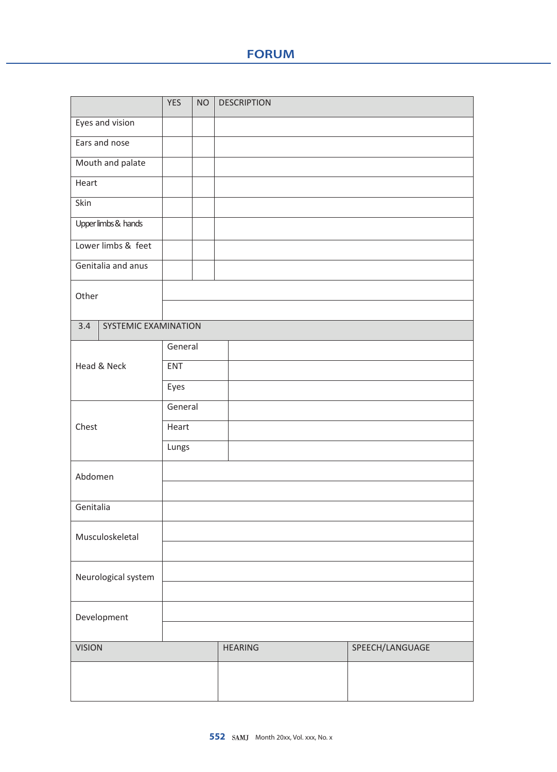|                                    | <b>YES</b> | <b>NO</b> | <b>DESCRIPTION</b> |                 |
|------------------------------------|------------|-----------|--------------------|-----------------|
| Eyes and vision                    |            |           |                    |                 |
| Ears and nose                      |            |           |                    |                 |
| Mouth and palate                   |            |           |                    |                 |
| Heart                              |            |           |                    |                 |
| Skin                               |            |           |                    |                 |
| Upper limbs & hands                |            |           |                    |                 |
| Lower limbs & feet                 |            |           |                    |                 |
| Genitalia and anus                 |            |           |                    |                 |
|                                    |            |           |                    |                 |
| Other                              |            |           |                    |                 |
| 3.4<br><b>SYSTEMIC EXAMINATION</b> |            |           |                    |                 |
|                                    | General    |           |                    |                 |
| Head & Neck                        | ENT        |           |                    |                 |
|                                    | Eyes       |           |                    |                 |
|                                    | General    |           |                    |                 |
| Chest                              | Heart      |           |                    |                 |
|                                    | Lungs      |           |                    |                 |
|                                    |            |           |                    |                 |
| Abdomen                            |            |           |                    |                 |
| Genitalia                          |            |           |                    |                 |
|                                    |            |           |                    |                 |
| Musculoskeletal                    |            |           |                    |                 |
|                                    |            |           |                    |                 |
| Neurological system                |            |           |                    |                 |
|                                    |            |           |                    |                 |
| Development                        |            |           |                    |                 |
| <b>VISION</b>                      |            |           | <b>HEARING</b>     | SPEECH/LANGUAGE |
|                                    |            |           |                    |                 |
|                                    |            |           |                    |                 |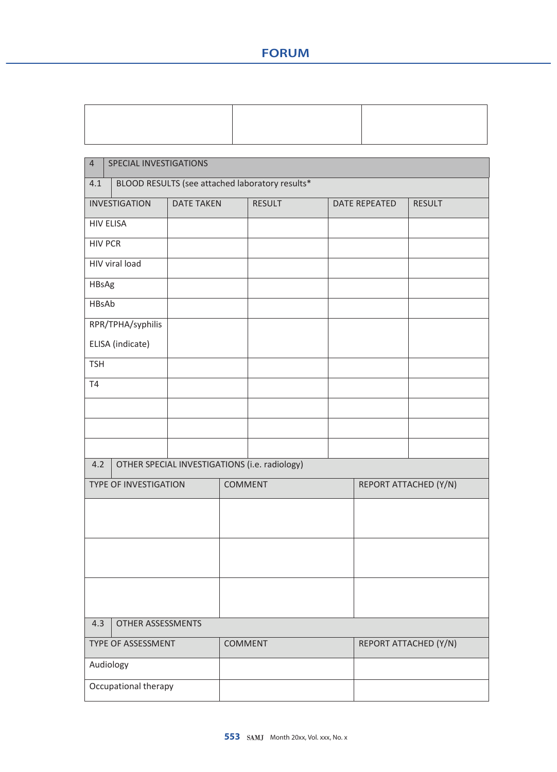| <b>SPECIAL INVESTIGATIONS</b><br>$\overline{4}$ |                                                 |                |               |  |                      |                       |  |  |
|-------------------------------------------------|-------------------------------------------------|----------------|---------------|--|----------------------|-----------------------|--|--|
| 4.1                                             | BLOOD RESULTS (see attached laboratory results* |                |               |  |                      |                       |  |  |
| <b>INVESTIGATION</b>                            | <b>DATE TAKEN</b>                               |                | <b>RESULT</b> |  | <b>DATE REPEATED</b> | <b>RESULT</b>         |  |  |
| <b>HIV ELISA</b>                                |                                                 |                |               |  |                      |                       |  |  |
| <b>HIV PCR</b>                                  |                                                 |                |               |  |                      |                       |  |  |
| HIV viral load                                  |                                                 |                |               |  |                      |                       |  |  |
| HBsAg                                           |                                                 |                |               |  |                      |                       |  |  |
| HBsAb                                           |                                                 |                |               |  |                      |                       |  |  |
| RPR/TPHA/syphilis                               |                                                 |                |               |  |                      |                       |  |  |
| ELISA (indicate)                                |                                                 |                |               |  |                      |                       |  |  |
| <b>TSH</b>                                      |                                                 |                |               |  |                      |                       |  |  |
| T4                                              |                                                 |                |               |  |                      |                       |  |  |
|                                                 |                                                 |                |               |  |                      |                       |  |  |
|                                                 |                                                 |                |               |  |                      |                       |  |  |
|                                                 |                                                 |                |               |  |                      |                       |  |  |
| 4.2                                             | OTHER SPECIAL INVESTIGATIONS (i.e. radiology)   |                |               |  |                      |                       |  |  |
| TYPE OF INVESTIGATION                           |                                                 | <b>COMMENT</b> |               |  |                      | REPORT ATTACHED (Y/N) |  |  |
|                                                 |                                                 |                |               |  |                      |                       |  |  |
|                                                 |                                                 |                |               |  |                      |                       |  |  |
|                                                 |                                                 |                |               |  |                      |                       |  |  |
|                                                 |                                                 |                |               |  |                      |                       |  |  |
|                                                 |                                                 |                |               |  |                      |                       |  |  |
|                                                 |                                                 |                |               |  |                      |                       |  |  |
| 4.3<br><b>OTHER ASSESSMENTS</b>                 |                                                 |                |               |  |                      |                       |  |  |
| TYPE OF ASSESSMENT                              |                                                 | <b>COMMENT</b> |               |  |                      | REPORT ATTACHED (Y/N) |  |  |
| Audiology                                       |                                                 |                |               |  |                      |                       |  |  |
| Occupational therapy                            |                                                 |                |               |  |                      |                       |  |  |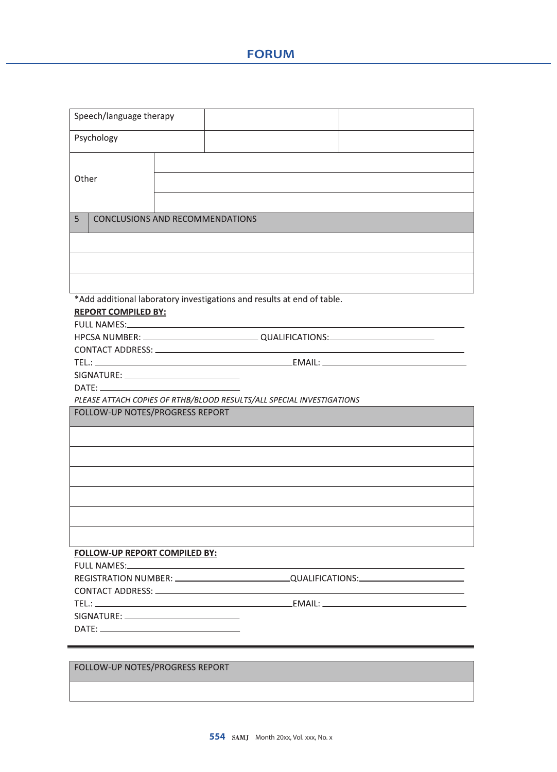|       | Speech/language therapy                       |  |  |                                                                        |                                                                                                                      |  |  |
|-------|-----------------------------------------------|--|--|------------------------------------------------------------------------|----------------------------------------------------------------------------------------------------------------------|--|--|
|       | Psychology                                    |  |  |                                                                        |                                                                                                                      |  |  |
|       |                                               |  |  |                                                                        |                                                                                                                      |  |  |
| Other |                                               |  |  |                                                                        |                                                                                                                      |  |  |
|       |                                               |  |  |                                                                        |                                                                                                                      |  |  |
| 5     | <b>CONCLUSIONS AND RECOMMENDATIONS</b>        |  |  |                                                                        |                                                                                                                      |  |  |
|       |                                               |  |  |                                                                        |                                                                                                                      |  |  |
|       |                                               |  |  |                                                                        |                                                                                                                      |  |  |
|       |                                               |  |  |                                                                        |                                                                                                                      |  |  |
|       |                                               |  |  |                                                                        |                                                                                                                      |  |  |
|       | <b>REPORT COMPILED BY:</b>                    |  |  | *Add additional laboratory investigations and results at end of table. |                                                                                                                      |  |  |
|       |                                               |  |  |                                                                        |                                                                                                                      |  |  |
|       |                                               |  |  |                                                                        |                                                                                                                      |  |  |
|       |                                               |  |  |                                                                        |                                                                                                                      |  |  |
|       |                                               |  |  |                                                                        |                                                                                                                      |  |  |
|       | SIGNATURE: ________________________________   |  |  |                                                                        |                                                                                                                      |  |  |
|       |                                               |  |  |                                                                        |                                                                                                                      |  |  |
|       |                                               |  |  | PLEASE ATTACH COPIES OF RTHB/BLOOD RESULTS/ALL SPECIAL INVESTIGATIONS  |                                                                                                                      |  |  |
|       | FOLLOW-UP NOTES/PROGRESS REPORT               |  |  |                                                                        |                                                                                                                      |  |  |
|       |                                               |  |  |                                                                        |                                                                                                                      |  |  |
|       |                                               |  |  |                                                                        |                                                                                                                      |  |  |
|       |                                               |  |  |                                                                        |                                                                                                                      |  |  |
|       |                                               |  |  |                                                                        |                                                                                                                      |  |  |
|       |                                               |  |  |                                                                        |                                                                                                                      |  |  |
|       |                                               |  |  |                                                                        |                                                                                                                      |  |  |
|       |                                               |  |  |                                                                        |                                                                                                                      |  |  |
|       | <b>FOLLOW-UP REPORT COMPILED BY:</b>          |  |  |                                                                        |                                                                                                                      |  |  |
|       |                                               |  |  |                                                                        |                                                                                                                      |  |  |
|       |                                               |  |  |                                                                        |                                                                                                                      |  |  |
|       |                                               |  |  |                                                                        | <u> 1989 - Johann John Stone, markin film yn y brenin y brenin y brenin y brenin y brenin y brenin y brenin y br</u> |  |  |
|       |                                               |  |  |                                                                        |                                                                                                                      |  |  |
|       | SIGNATURE: __________________________________ |  |  |                                                                        |                                                                                                                      |  |  |
|       |                                               |  |  |                                                                        |                                                                                                                      |  |  |
|       |                                               |  |  |                                                                        |                                                                                                                      |  |  |
|       |                                               |  |  |                                                                        |                                                                                                                      |  |  |

FOLLOW-UP NOTES/PROGRESS REPORT